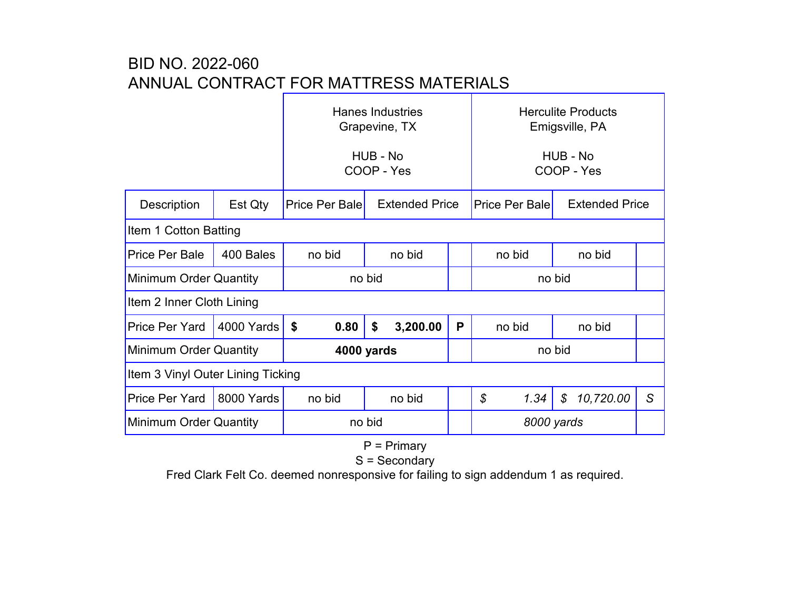## BID NO. 2022-060 ANNUAL CONTRACT FOR MATTRESS MATERIALS

|                                   |            | <b>Hanes Industries</b><br>Grapevine, TX |                       |   | <b>Herculite Products</b><br>Emigsville, PA |      |                            |   |  |  |  |  |
|-----------------------------------|------------|------------------------------------------|-----------------------|---|---------------------------------------------|------|----------------------------|---|--|--|--|--|
|                                   |            | HUB - No<br>COOP - Yes                   |                       |   | HUB - No<br>COOP - Yes                      |      |                            |   |  |  |  |  |
| <b>Description</b>                | Est Qty    | <b>Price Per Bale</b>                    | <b>Extended Price</b> |   | <b>Price Per Bale</b>                       |      | <b>Extended Price</b>      |   |  |  |  |  |
| Item 1 Cotton Batting             |            |                                          |                       |   |                                             |      |                            |   |  |  |  |  |
| <b>Price Per Bale</b>             | 400 Bales  | no bid                                   | no bid                |   | no bid                                      |      | no bid                     |   |  |  |  |  |
| Minimum Order Quantity            |            | no bid                                   |                       |   | no bid                                      |      |                            |   |  |  |  |  |
| Item 2 Inner Cloth Lining         |            |                                          |                       |   |                                             |      |                            |   |  |  |  |  |
| <b>Price Per Yard</b>             | 4000 Yards | \$<br>0.80                               | \$<br>3,200.00        | P | no bid                                      |      | no bid                     |   |  |  |  |  |
| Minimum Order Quantity            |            | 4000 yards                               |                       |   | no bid                                      |      |                            |   |  |  |  |  |
| Item 3 Vinyl Outer Lining Ticking |            |                                          |                       |   |                                             |      |                            |   |  |  |  |  |
| <b>Price Per Yard</b>             | 8000 Yards | no bid                                   | no bid                |   | $\mathcal{S}$                               | 1.34 | 10,720.00<br>$\mathcal{S}$ | S |  |  |  |  |
| Minimum Order Quantity            |            | no bid                                   |                       |   | 8000 yards                                  |      |                            |   |  |  |  |  |

P = Primary

S = Secondary

Fred Clark Felt Co. deemed nonresponsive for failing to sign addendum 1 as required.